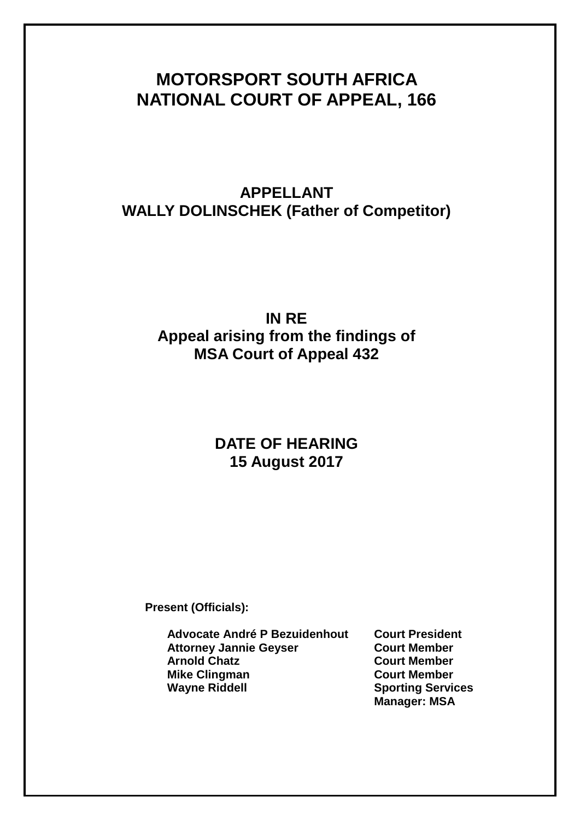# **MOTORSPORT SOUTH AFRICA NATIONAL COURT OF APPEAL, 166**

## **APPELLANT WALLY DOLINSCHEK (Father of Competitor)**

## **IN RE Appeal arising from the findings of MSA Court of Appeal 432**

## **DATE OF HEARING 15 August 2017**

**Present (Officials):**

**Advocate André P Bezuidenhout Court President Attorney Jannie Geyser Arnold Chatz Court Member Mike Clingman Court Member Wayne Riddell Sporting Services**

**Manager: MSA**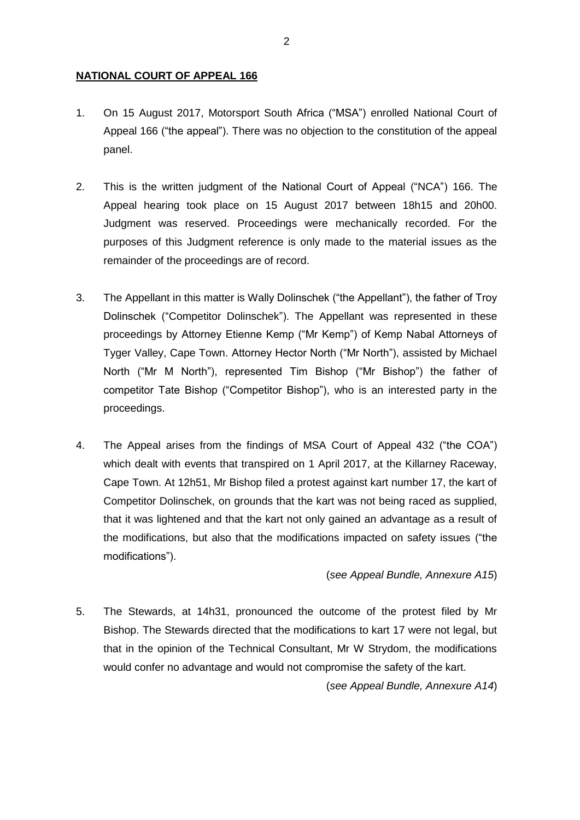### **NATIONAL COURT OF APPEAL 166**

- 1. On 15 August 2017, Motorsport South Africa ("MSA") enrolled National Court of Appeal 166 ("the appeal"). There was no objection to the constitution of the appeal panel.
- 2. This is the written judgment of the National Court of Appeal ("NCA") 166. The Appeal hearing took place on 15 August 2017 between 18h15 and 20h00. Judgment was reserved. Proceedings were mechanically recorded. For the purposes of this Judgment reference is only made to the material issues as the remainder of the proceedings are of record.
- 3. The Appellant in this matter is Wally Dolinschek ("the Appellant"), the father of Troy Dolinschek ("Competitor Dolinschek"). The Appellant was represented in these proceedings by Attorney Etienne Kemp ("Mr Kemp") of Kemp Nabal Attorneys of Tyger Valley, Cape Town. Attorney Hector North ("Mr North"), assisted by Michael North ("Mr M North"), represented Tim Bishop ("Mr Bishop") the father of competitor Tate Bishop ("Competitor Bishop"), who is an interested party in the proceedings.
- 4. The Appeal arises from the findings of MSA Court of Appeal 432 ("the COA") which dealt with events that transpired on 1 April 2017, at the Killarney Raceway, Cape Town. At 12h51, Mr Bishop filed a protest against kart number 17, the kart of Competitor Dolinschek, on grounds that the kart was not being raced as supplied, that it was lightened and that the kart not only gained an advantage as a result of the modifications, but also that the modifications impacted on safety issues ("the modifications").

(*see Appeal Bundle, Annexure A15*)

5. The Stewards, at 14h31, pronounced the outcome of the protest filed by Mr Bishop. The Stewards directed that the modifications to kart 17 were not legal, but that in the opinion of the Technical Consultant, Mr W Strydom, the modifications would confer no advantage and would not compromise the safety of the kart.

(*see Appeal Bundle, Annexure A14*)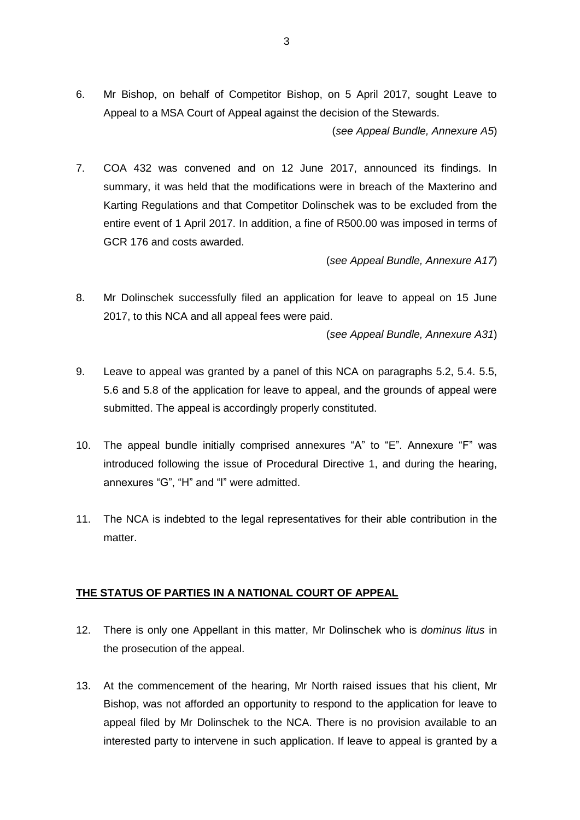6. Mr Bishop, on behalf of Competitor Bishop, on 5 April 2017, sought Leave to Appeal to a MSA Court of Appeal against the decision of the Stewards. (*see Appeal Bundle, Annexure A5*)

7. COA 432 was convened and on 12 June 2017, announced its findings. In summary, it was held that the modifications were in breach of the Maxterino and Karting Regulations and that Competitor Dolinschek was to be excluded from the entire event of 1 April 2017. In addition, a fine of R500.00 was imposed in terms of GCR 176 and costs awarded.

(*see Appeal Bundle, Annexure A17*)

8. Mr Dolinschek successfully filed an application for leave to appeal on 15 June 2017, to this NCA and all appeal fees were paid.

(*see Appeal Bundle, Annexure A31*)

- 9. Leave to appeal was granted by a panel of this NCA on paragraphs 5.2, 5.4. 5.5, 5.6 and 5.8 of the application for leave to appeal, and the grounds of appeal were submitted. The appeal is accordingly properly constituted.
- 10. The appeal bundle initially comprised annexures "A" to "E". Annexure "F" was introduced following the issue of Procedural Directive 1, and during the hearing, annexures "G", "H" and "I" were admitted.
- 11. The NCA is indebted to the legal representatives for their able contribution in the matter.

## **THE STATUS OF PARTIES IN A NATIONAL COURT OF APPEAL**

- 12. There is only one Appellant in this matter, Mr Dolinschek who is *dominus litus* in the prosecution of the appeal.
- 13. At the commencement of the hearing, Mr North raised issues that his client, Mr Bishop, was not afforded an opportunity to respond to the application for leave to appeal filed by Mr Dolinschek to the NCA. There is no provision available to an interested party to intervene in such application. If leave to appeal is granted by a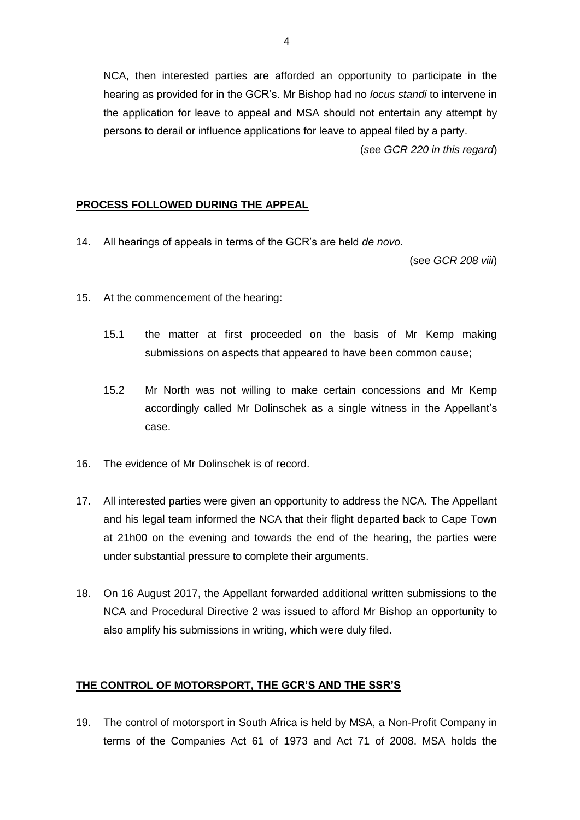NCA, then interested parties are afforded an opportunity to participate in the hearing as provided for in the GCR's. Mr Bishop had no *locus standi* to intervene in the application for leave to appeal and MSA should not entertain any attempt by persons to derail or influence applications for leave to appeal filed by a party.

(*see GCR 220 in this regard*)

## **PROCESS FOLLOWED DURING THE APPEAL**

14. All hearings of appeals in terms of the GCR's are held *de novo*.

(see *GCR 208 viii*)

- 15. At the commencement of the hearing:
	- 15.1 the matter at first proceeded on the basis of Mr Kemp making submissions on aspects that appeared to have been common cause;
	- 15.2 Mr North was not willing to make certain concessions and Mr Kemp accordingly called Mr Dolinschek as a single witness in the Appellant's case.
- 16. The evidence of Mr Dolinschek is of record.
- 17. All interested parties were given an opportunity to address the NCA. The Appellant and his legal team informed the NCA that their flight departed back to Cape Town at 21h00 on the evening and towards the end of the hearing, the parties were under substantial pressure to complete their arguments.
- 18. On 16 August 2017, the Appellant forwarded additional written submissions to the NCA and Procedural Directive 2 was issued to afford Mr Bishop an opportunity to also amplify his submissions in writing, which were duly filed.

## **THE CONTROL OF MOTORSPORT, THE GCR'S AND THE SSR'S**

19. The control of motorsport in South Africa is held by MSA, a Non-Profit Company in terms of the Companies Act 61 of 1973 and Act 71 of 2008. MSA holds the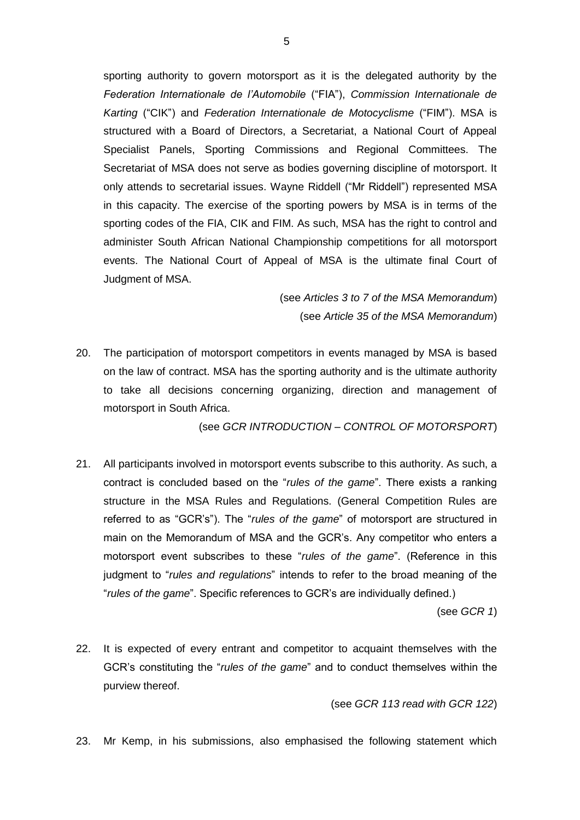sporting authority to govern motorsport as it is the delegated authority by the *Federation Internationale de l'Automobile* ("FIA"), *Commission Internationale de Karting* ("CIK") and *Federation Internationale de Motocyclisme* ("FIM"). MSA is structured with a Board of Directors, a Secretariat, a National Court of Appeal Specialist Panels, Sporting Commissions and Regional Committees. The Secretariat of MSA does not serve as bodies governing discipline of motorsport. It only attends to secretarial issues. Wayne Riddell ("Mr Riddell") represented MSA in this capacity. The exercise of the sporting powers by MSA is in terms of the sporting codes of the FIA, CIK and FIM. As such, MSA has the right to control and administer South African National Championship competitions for all motorsport events. The National Court of Appeal of MSA is the ultimate final Court of Judgment of MSA.

> (see *Articles 3 to 7 of the MSA Memorandum*) (see *Article 35 of the MSA Memorandum*)

20. The participation of motorsport competitors in events managed by MSA is based on the law of contract. MSA has the sporting authority and is the ultimate authority to take all decisions concerning organizing, direction and management of motorsport in South Africa.

(see *GCR INTRODUCTION – CONTROL OF MOTORSPORT*)

21. All participants involved in motorsport events subscribe to this authority. As such, a contract is concluded based on the "*rules of the game*". There exists a ranking structure in the MSA Rules and Regulations. (General Competition Rules are referred to as "GCR's"). The "*rules of the game*" of motorsport are structured in main on the Memorandum of MSA and the GCR's. Any competitor who enters a motorsport event subscribes to these "*rules of the game*". (Reference in this judgment to "*rules and regulations*" intends to refer to the broad meaning of the "*rules of the game*". Specific references to GCR's are individually defined.)

(see *GCR 1*)

22. It is expected of every entrant and competitor to acquaint themselves with the GCR's constituting the "*rules of the game*" and to conduct themselves within the purview thereof.

(see *GCR 113 read with GCR 122*)

23. Mr Kemp, in his submissions, also emphasised the following statement which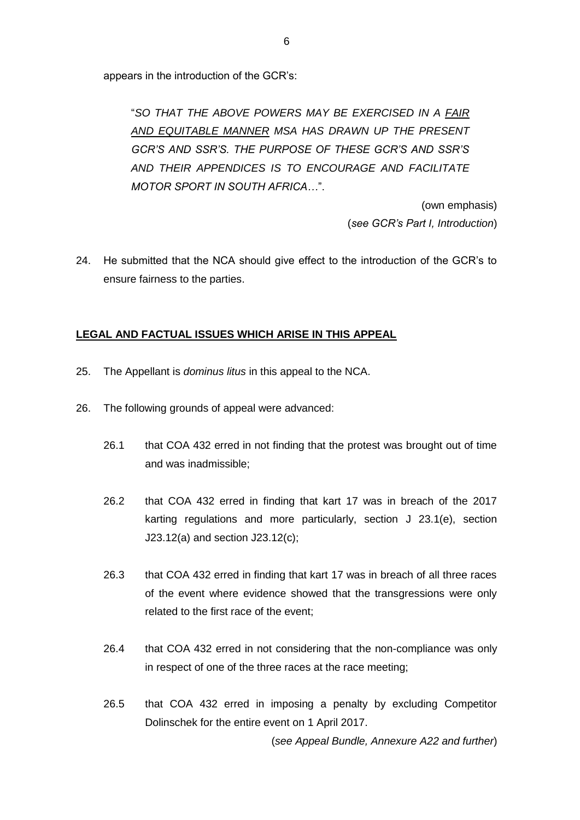appears in the introduction of the GCR's:

"*SO THAT THE ABOVE POWERS MAY BE EXERCISED IN A FAIR AND EQUITABLE MANNER MSA HAS DRAWN UP THE PRESENT GCR'S AND SSR'S. THE PURPOSE OF THESE GCR'S AND SSR'S AND THEIR APPENDICES IS TO ENCOURAGE AND FACILITATE MOTOR SPORT IN SOUTH AFRICA…*".

> (own emphasis) (*see GCR's Part I, Introduction*)

24. He submitted that the NCA should give effect to the introduction of the GCR's to ensure fairness to the parties.

### **LEGAL AND FACTUAL ISSUES WHICH ARISE IN THIS APPEAL**

- 25. The Appellant is *dominus litus* in this appeal to the NCA.
- 26. The following grounds of appeal were advanced:
	- 26.1 that COA 432 erred in not finding that the protest was brought out of time and was inadmissible;
	- 26.2 that COA 432 erred in finding that kart 17 was in breach of the 2017 karting regulations and more particularly, section J 23.1(e), section J23.12(a) and section J23.12(c);
	- 26.3 that COA 432 erred in finding that kart 17 was in breach of all three races of the event where evidence showed that the transgressions were only related to the first race of the event;
	- 26.4 that COA 432 erred in not considering that the non-compliance was only in respect of one of the three races at the race meeting;
	- 26.5 that COA 432 erred in imposing a penalty by excluding Competitor Dolinschek for the entire event on 1 April 2017.

(*see Appeal Bundle, Annexure A22 and further*)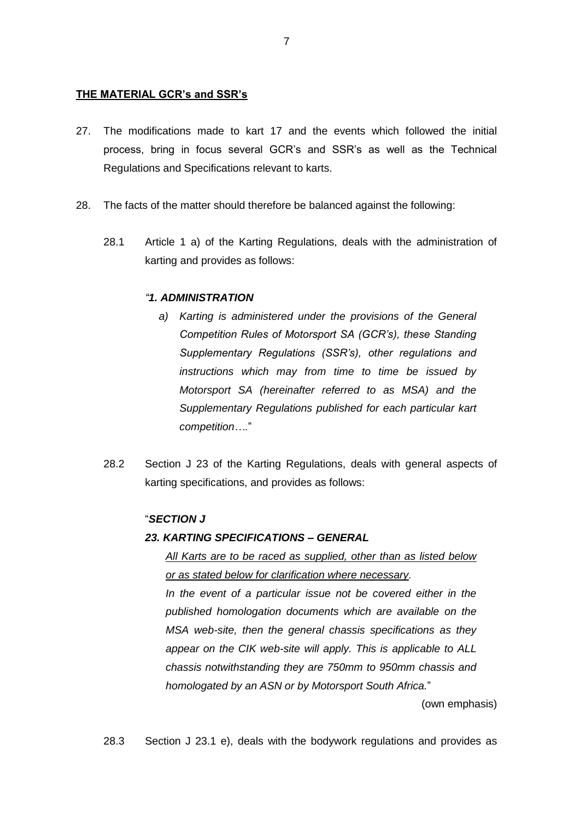#### **THE MATERIAL GCR's and SSR's**

- 27. The modifications made to kart 17 and the events which followed the initial process, bring in focus several GCR's and SSR's as well as the Technical Regulations and Specifications relevant to karts.
- 28. The facts of the matter should therefore be balanced against the following:
	- 28.1 Article 1 a) of the Karting Regulations, deals with the administration of karting and provides as follows:

#### *"1. ADMINISTRATION*

- *a) Karting is administered under the provisions of the General Competition Rules of Motorsport SA (GCR's), these Standing Supplementary Regulations (SSR's), other regulations and instructions which may from time to time be issued by Motorsport SA (hereinafter referred to as MSA) and the Supplementary Regulations published for each particular kart competition….*"
- 28.2 Section J 23 of the Karting Regulations, deals with general aspects of karting specifications, and provides as follows:

## "*SECTION J*

## *23. KARTING SPECIFICATIONS – GENERAL*

*All Karts are to be raced as supplied, other than as listed below or as stated below for clarification where necessary.*

*In the event of a particular issue not be covered either in the published homologation documents which are available on the MSA web-site, then the general chassis specifications as they appear on the CIK web-site will apply. This is applicable to ALL chassis notwithstanding they are 750mm to 950mm chassis and homologated by an ASN or by Motorsport South Africa.*"

(own emphasis)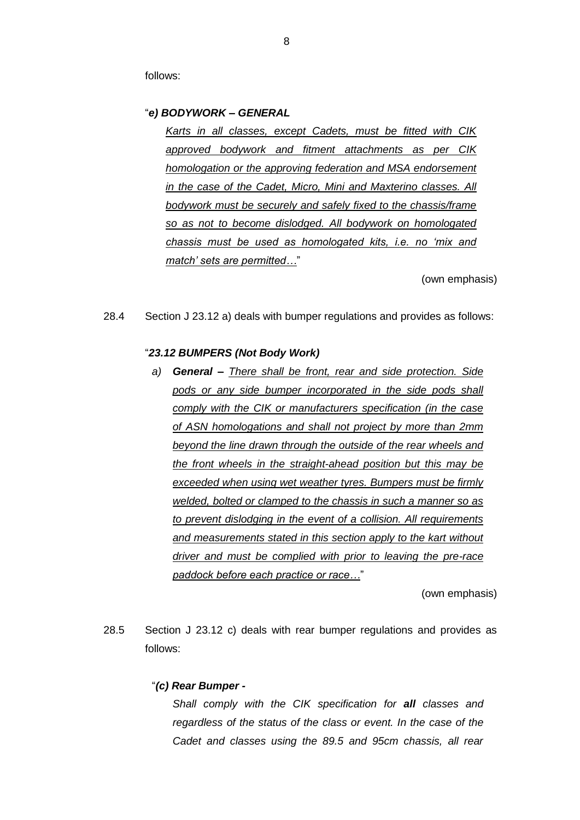follows:

#### "*e) BODYWORK – GENERAL*

*Karts in all classes, except Cadets, must be fitted with CIK approved bodywork and fitment attachments as per CIK homologation or the approving federation and MSA endorsement in the case of the Cadet, Micro, Mini and Maxterino classes. All bodywork must be securely and safely fixed to the chassis/frame so as not to become dislodged. All bodywork on homologated chassis must be used as homologated kits, i.e. no 'mix and match' sets are permitted…*"

(own emphasis)

28.4 Section J 23.12 a) deals with bumper regulations and provides as follows:

#### "*23.12 BUMPERS (Not Body Work)*

*a) General – There shall be front, rear and side protection. Side pods or any side bumper incorporated in the side pods shall comply with the CIK or manufacturers specification (in the case of ASN homologations and shall not project by more than 2mm beyond the line drawn through the outside of the rear wheels and the front wheels in the straight-ahead position but this may be exceeded when using wet weather tyres. Bumpers must be firmly welded, bolted or clamped to the chassis in such a manner so as to prevent dislodging in the event of a collision. All requirements and measurements stated in this section apply to the kart without driver and must be complied with prior to leaving the pre-race paddock before each practice or race…*"

(own emphasis)

28.5 Section J 23.12 c) deals with rear bumper regulations and provides as follows:

#### "*(c) Rear Bumper -*

*Shall comply with the CIK specification for all classes and regardless of the status of the class or event. In the case of the Cadet and classes using the 89.5 and 95cm chassis, all rear*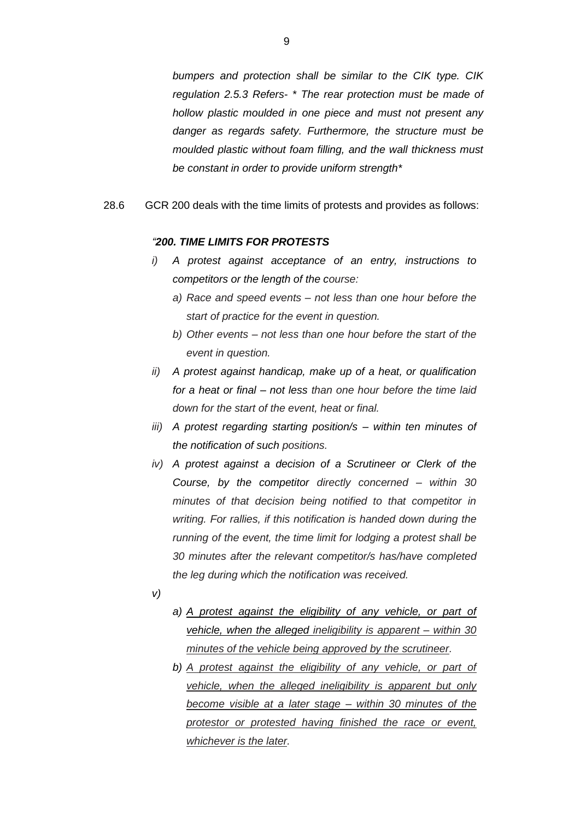*bumpers and protection shall be similar to the CIK type. CIK regulation 2.5.3 Refers- \* The rear protection must be made of hollow plastic moulded in one piece and must not present any danger as regards safety. Furthermore, the structure must be moulded plastic without foam filling, and the wall thickness must be constant in order to provide uniform strength\**

28.6 GCR 200 deals with the time limits of protests and provides as follows:

#### *"200. TIME LIMITS FOR PROTESTS*

- *i) A protest against acceptance of an entry, instructions to competitors or the length of the course:*
	- *a) Race and speed events – not less than one hour before the start of practice for the event in question.*
	- *b) Other events – not less than one hour before the start of the event in question.*
- *ii) A protest against handicap, make up of a heat, or qualification for a heat or final – not less than one hour before the time laid down for the start of the event, heat or final.*
- *iii) A protest regarding starting position/s – within ten minutes of the notification of such positions.*
- *iv) A protest against a decision of a Scrutineer or Clerk of the Course, by the competitor directly concerned – within 30 minutes of that decision being notified to that competitor in writing. For rallies, if this notification is handed down during the running of the event, the time limit for lodging a protest shall be 30 minutes after the relevant competitor/s has/have completed the leg during which the notification was received.*
- *v)*
- *a) A protest against the eligibility of any vehicle, or part of vehicle, when the alleged ineligibility is apparent – within 30 minutes of the vehicle being approved by the scrutineer.*
- *b) A protest against the eligibility of any vehicle, or part of vehicle, when the alleged ineligibility is apparent but only become visible at a later stage – within 30 minutes of the protestor or protested having finished the race or event, whichever is the later.*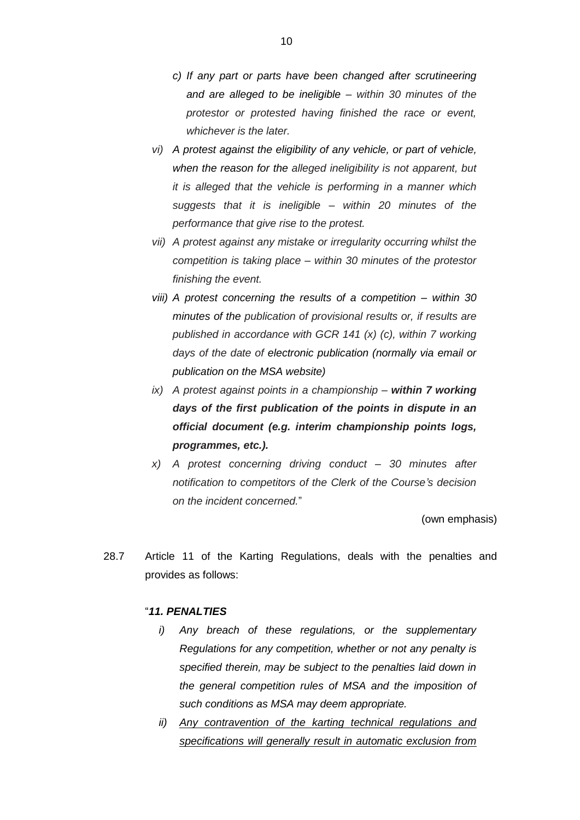- *c) If any part or parts have been changed after scrutineering and are alleged to be ineligible – within 30 minutes of the protestor or protested having finished the race or event, whichever is the later.*
- *vi) A protest against the eligibility of any vehicle, or part of vehicle, when the reason for the alleged ineligibility is not apparent, but it is alleged that the vehicle is performing in a manner which suggests that it is ineligible – within 20 minutes of the performance that give rise to the protest.*
- *vii) A protest against any mistake or irregularity occurring whilst the competition is taking place – within 30 minutes of the protestor finishing the event.*
- *viii) A protest concerning the results of a competition – within 30 minutes of the publication of provisional results or, if results are published in accordance with GCR 141 (x) (c), within 7 working days of the date of electronic publication (normally via email or publication on the MSA website)*
- *ix) A protest against points in a championship – within 7 working days of the first publication of the points in dispute in an official document (e.g. interim championship points logs, programmes, etc.).*
- *x) A protest concerning driving conduct – 30 minutes after notification to competitors of the Clerk of the Course's decision on the incident concerned.*"

(own emphasis)

28.7 Article 11 of the Karting Regulations, deals with the penalties and provides as follows:

#### "*11. PENALTIES*

- *i) Any breach of these regulations, or the supplementary Regulations for any competition, whether or not any penalty is specified therein, may be subject to the penalties laid down in the general competition rules of MSA and the imposition of such conditions as MSA may deem appropriate.*
- *ii) Any contravention of the karting technical regulations and specifications will generally result in automatic exclusion from*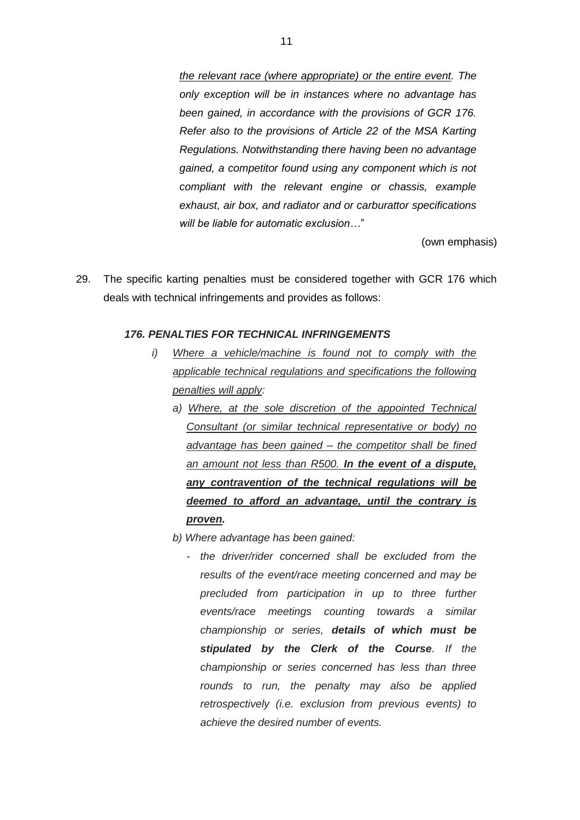*the relevant race (where appropriate) or the entire event. The only exception will be in instances where no advantage has been gained, in accordance with the provisions of GCR 176. Refer also to the provisions of Article 22 of the MSA Karting Regulations. Notwithstanding there having been no advantage gained, a competitor found using any component which is not compliant with the relevant engine or chassis, example exhaust, air box, and radiator and or carburattor specifications will be liable for automatic exclusion…*"

(own emphasis)

29. The specific karting penalties must be considered together with GCR 176 which deals with technical infringements and provides as follows:

#### *176. PENALTIES FOR TECHNICAL INFRINGEMENTS*

- *i*) Where a vehicle/machine is found not to comply with the *applicable technical regulations and specifications the following penalties will apply:*
	- *a) Where, at the sole discretion of the appointed Technical Consultant (or similar technical representative or body) no advantage has been gained – the competitor shall be fined an amount not less than R500. In the event of a dispute, any contravention of the technical regulations will be deemed to afford an advantage, until the contrary is proven.*
	- *b) Where advantage has been gained:*
		- *- the driver/rider concerned shall be excluded from the results of the event/race meeting concerned and may be precluded from participation in up to three further events/race meetings counting towards a similar championship or series, details of which must be stipulated by the Clerk of the Course. If the championship or series concerned has less than three rounds to run, the penalty may also be applied retrospectively (i.e. exclusion from previous events) to achieve the desired number of events.*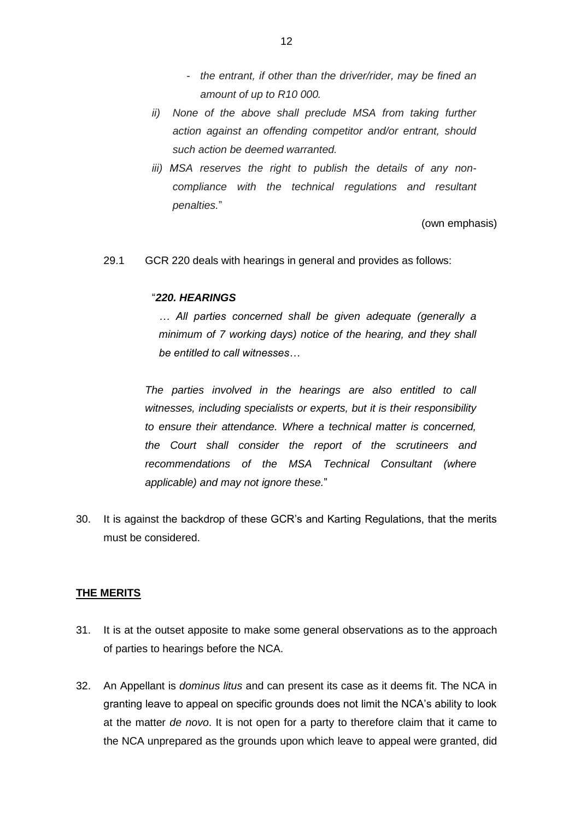- *- the entrant, if other than the driver/rider, may be fined an amount of up to R10 000.*
- *ii*) None of the above shall preclude MSA from taking further *action against an offending competitor and/or entrant, should such action be deemed warranted.*
- *iii) MSA reserves the right to publish the details of any noncompliance with the technical regulations and resultant penalties.*"

(own emphasis)

29.1 GCR 220 deals with hearings in general and provides as follows:

#### "*220. HEARINGS*

*… All parties concerned shall be given adequate (generally a minimum of 7 working days) notice of the hearing, and they shall be entitled to call witnesses…*

*The parties involved in the hearings are also entitled to call witnesses, including specialists or experts, but it is their responsibility to ensure their attendance. Where a technical matter is concerned, the Court shall consider the report of the scrutineers and recommendations of the MSA Technical Consultant (where applicable) and may not ignore these.*"

30. It is against the backdrop of these GCR's and Karting Regulations, that the merits must be considered.

#### **THE MERITS**

- 31. It is at the outset apposite to make some general observations as to the approach of parties to hearings before the NCA.
- 32. An Appellant is *dominus litus* and can present its case as it deems fit. The NCA in granting leave to appeal on specific grounds does not limit the NCA's ability to look at the matter *de novo*. It is not open for a party to therefore claim that it came to the NCA unprepared as the grounds upon which leave to appeal were granted, did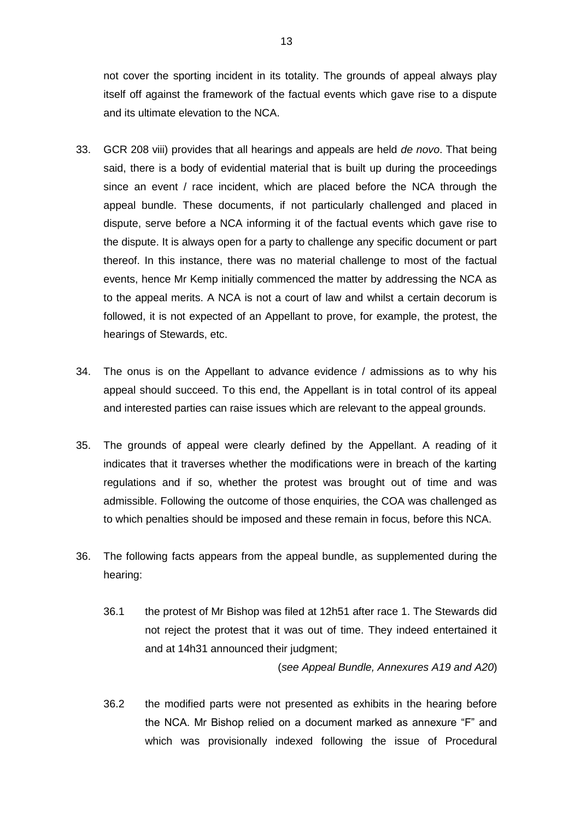not cover the sporting incident in its totality. The grounds of appeal always play itself off against the framework of the factual events which gave rise to a dispute and its ultimate elevation to the NCA.

- 33. GCR 208 viii) provides that all hearings and appeals are held *de novo*. That being said, there is a body of evidential material that is built up during the proceedings since an event / race incident, which are placed before the NCA through the appeal bundle. These documents, if not particularly challenged and placed in dispute, serve before a NCA informing it of the factual events which gave rise to the dispute. It is always open for a party to challenge any specific document or part thereof. In this instance, there was no material challenge to most of the factual events, hence Mr Kemp initially commenced the matter by addressing the NCA as to the appeal merits. A NCA is not a court of law and whilst a certain decorum is followed, it is not expected of an Appellant to prove, for example, the protest, the hearings of Stewards, etc.
- 34. The onus is on the Appellant to advance evidence / admissions as to why his appeal should succeed. To this end, the Appellant is in total control of its appeal and interested parties can raise issues which are relevant to the appeal grounds.
- 35. The grounds of appeal were clearly defined by the Appellant. A reading of it indicates that it traverses whether the modifications were in breach of the karting regulations and if so, whether the protest was brought out of time and was admissible. Following the outcome of those enquiries, the COA was challenged as to which penalties should be imposed and these remain in focus, before this NCA.
- 36. The following facts appears from the appeal bundle, as supplemented during the hearing:
	- 36.1 the protest of Mr Bishop was filed at 12h51 after race 1. The Stewards did not reject the protest that it was out of time. They indeed entertained it and at 14h31 announced their judgment;

(*see Appeal Bundle, Annexures A19 and A20*)

36.2 the modified parts were not presented as exhibits in the hearing before the NCA. Mr Bishop relied on a document marked as annexure "F" and which was provisionally indexed following the issue of Procedural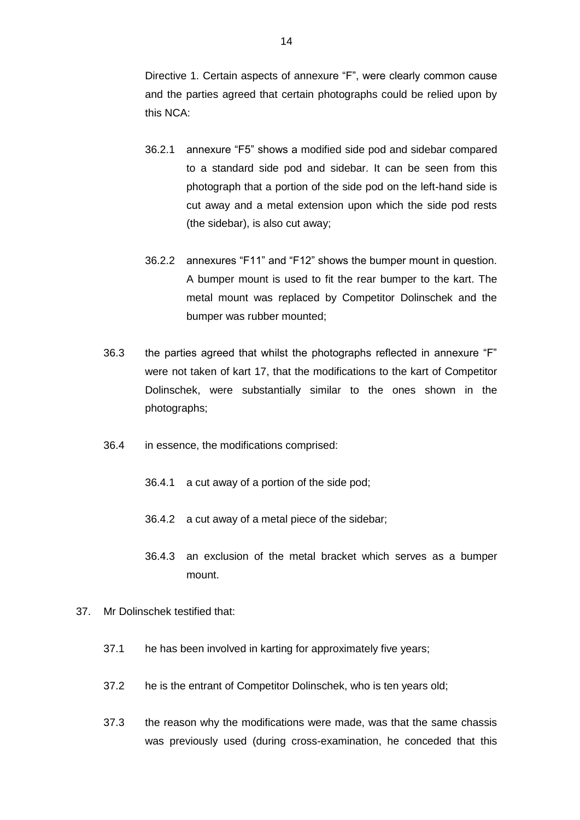Directive 1. Certain aspects of annexure "F", were clearly common cause and the parties agreed that certain photographs could be relied upon by this NCA:

- 36.2.1 annexure "F5" shows a modified side pod and sidebar compared to a standard side pod and sidebar. It can be seen from this photograph that a portion of the side pod on the left-hand side is cut away and a metal extension upon which the side pod rests (the sidebar), is also cut away;
- 36.2.2 annexures "F11" and "F12" shows the bumper mount in question. A bumper mount is used to fit the rear bumper to the kart. The metal mount was replaced by Competitor Dolinschek and the bumper was rubber mounted;
- 36.3 the parties agreed that whilst the photographs reflected in annexure "F" were not taken of kart 17, that the modifications to the kart of Competitor Dolinschek, were substantially similar to the ones shown in the photographs;
- 36.4 in essence, the modifications comprised:
	- 36.4.1 a cut away of a portion of the side pod;
	- 36.4.2 a cut away of a metal piece of the sidebar;
	- 36.4.3 an exclusion of the metal bracket which serves as a bumper mount.
- 37. Mr Dolinschek testified that:
	- 37.1 he has been involved in karting for approximately five years;
	- 37.2 he is the entrant of Competitor Dolinschek, who is ten years old;
	- 37.3 the reason why the modifications were made, was that the same chassis was previously used (during cross-examination, he conceded that this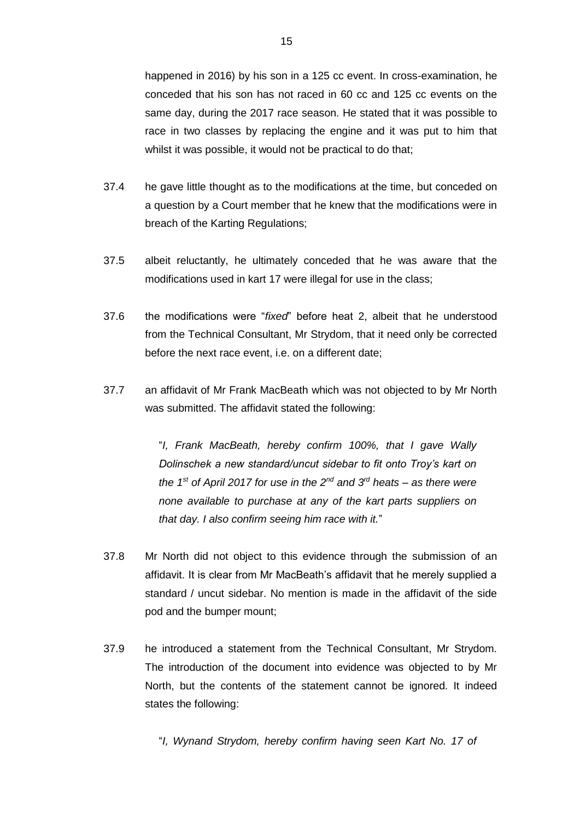happened in 2016) by his son in a 125 cc event. In cross-examination, he conceded that his son has not raced in 60 cc and 125 cc events on the same day, during the 2017 race season. He stated that it was possible to race in two classes by replacing the engine and it was put to him that whilst it was possible, it would not be practical to do that;

- 37.4 he gave little thought as to the modifications at the time, but conceded on a question by a Court member that he knew that the modifications were in breach of the Karting Regulations;
- 37.5 albeit reluctantly, he ultimately conceded that he was aware that the modifications used in kart 17 were illegal for use in the class;
- 37.6 the modifications were "*fixed*" before heat 2, albeit that he understood from the Technical Consultant, Mr Strydom, that it need only be corrected before the next race event, i.e. on a different date;
- 37.7 an affidavit of Mr Frank MacBeath which was not objected to by Mr North was submitted. The affidavit stated the following:

"*I, Frank MacBeath, hereby confirm 100%, that I gave Wally Dolinschek a new standard/uncut sidebar to fit onto Troy's kart on the 1st of April 2017 for use in the 2nd and 3rd heats – as there were none available to purchase at any of the kart parts suppliers on that day. I also confirm seeing him race with it.*"

- 37.8 Mr North did not object to this evidence through the submission of an affidavit. It is clear from Mr MacBeath's affidavit that he merely supplied a standard / uncut sidebar. No mention is made in the affidavit of the side pod and the bumper mount;
- 37.9 he introduced a statement from the Technical Consultant, Mr Strydom. The introduction of the document into evidence was objected to by Mr North, but the contents of the statement cannot be ignored. It indeed states the following:

"*I, Wynand Strydom, hereby confirm having seen Kart No. 17 of*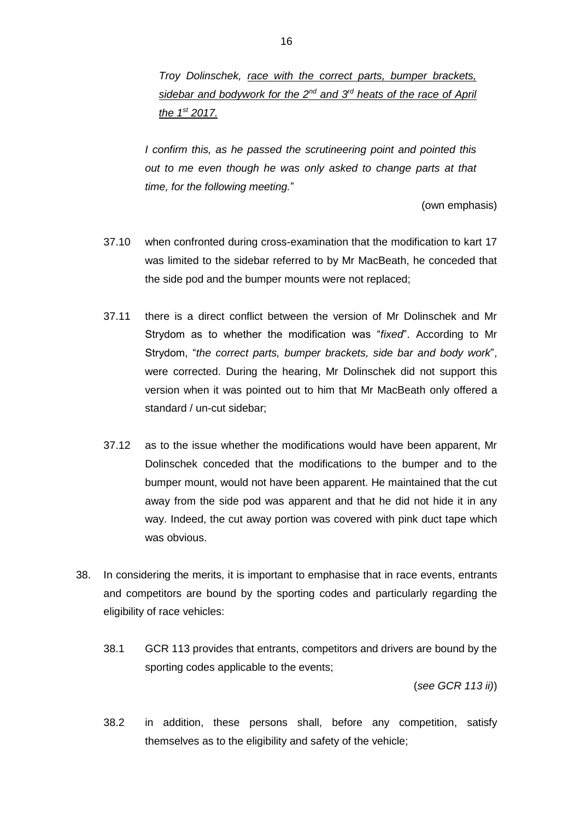*I confirm this, as he passed the scrutineering point and pointed this out to me even though he was only asked to change parts at that time, for the following meeting.*"

(own emphasis)

- 37.10 when confronted during cross-examination that the modification to kart 17 was limited to the sidebar referred to by Mr MacBeath, he conceded that the side pod and the bumper mounts were not replaced;
- 37.11 there is a direct conflict between the version of Mr Dolinschek and Mr Strydom as to whether the modification was "*fixed*". According to Mr Strydom, "*the correct parts, bumper brackets, side bar and body work*", were corrected. During the hearing, Mr Dolinschek did not support this version when it was pointed out to him that Mr MacBeath only offered a standard / un-cut sidebar;
- 37.12 as to the issue whether the modifications would have been apparent, Mr Dolinschek conceded that the modifications to the bumper and to the bumper mount, would not have been apparent. He maintained that the cut away from the side pod was apparent and that he did not hide it in any way. Indeed, the cut away portion was covered with pink duct tape which was obvious.
- 38. In considering the merits, it is important to emphasise that in race events, entrants and competitors are bound by the sporting codes and particularly regarding the eligibility of race vehicles:
	- 38.1 GCR 113 provides that entrants, competitors and drivers are bound by the sporting codes applicable to the events;

(*see GCR 113 ii)*)

38.2 in addition, these persons shall, before any competition, satisfy themselves as to the eligibility and safety of the vehicle;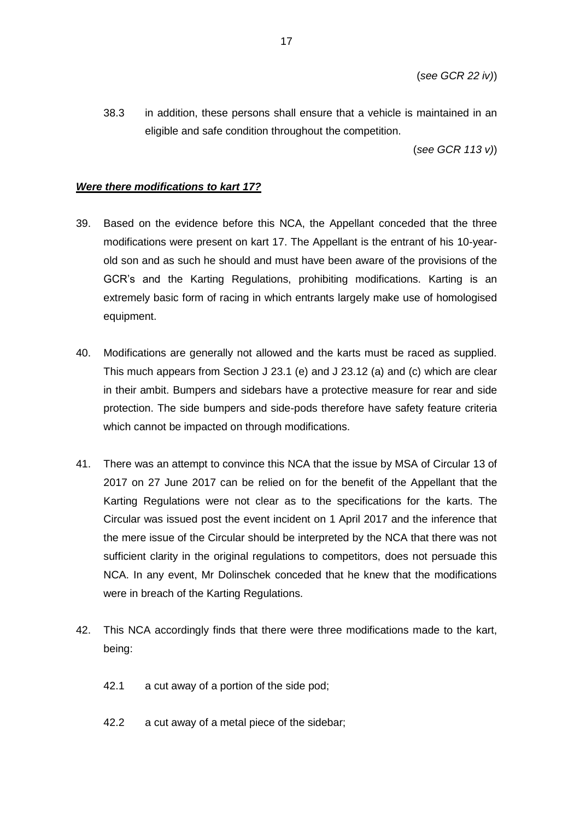38.3 in addition, these persons shall ensure that a vehicle is maintained in an eligible and safe condition throughout the competition.

(*see GCR 113 v)*)

#### *Were there modifications to kart 17?*

- 39. Based on the evidence before this NCA, the Appellant conceded that the three modifications were present on kart 17. The Appellant is the entrant of his 10-yearold son and as such he should and must have been aware of the provisions of the GCR's and the Karting Regulations, prohibiting modifications. Karting is an extremely basic form of racing in which entrants largely make use of homologised equipment.
- 40. Modifications are generally not allowed and the karts must be raced as supplied. This much appears from Section J 23.1 (e) and J 23.12 (a) and (c) which are clear in their ambit. Bumpers and sidebars have a protective measure for rear and side protection. The side bumpers and side-pods therefore have safety feature criteria which cannot be impacted on through modifications.
- 41. There was an attempt to convince this NCA that the issue by MSA of Circular 13 of 2017 on 27 June 2017 can be relied on for the benefit of the Appellant that the Karting Regulations were not clear as to the specifications for the karts. The Circular was issued post the event incident on 1 April 2017 and the inference that the mere issue of the Circular should be interpreted by the NCA that there was not sufficient clarity in the original regulations to competitors, does not persuade this NCA. In any event, Mr Dolinschek conceded that he knew that the modifications were in breach of the Karting Regulations.
- 42. This NCA accordingly finds that there were three modifications made to the kart, being:
	- 42.1 a cut away of a portion of the side pod;
	- 42.2 a cut away of a metal piece of the sidebar;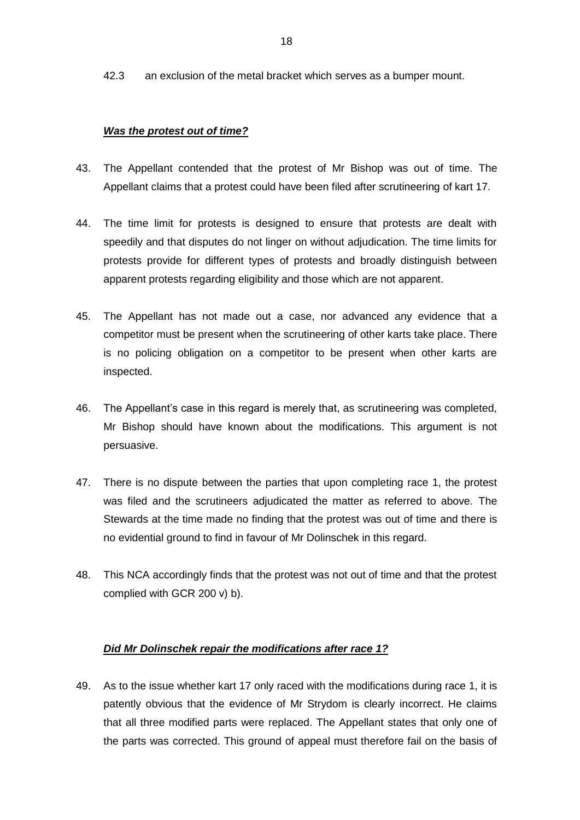42.3 an exclusion of the metal bracket which serves as a bumper mount.

## *Was the protest out of time?*

- 43. The Appellant contended that the protest of Mr Bishop was out of time. The Appellant claims that a protest could have been filed after scrutineering of kart 17.
- 44. The time limit for protests is designed to ensure that protests are dealt with speedily and that disputes do not linger on without adjudication. The time limits for protests provide for different types of protests and broadly distinguish between apparent protests regarding eligibility and those which are not apparent.
- 45. The Appellant has not made out a case, nor advanced any evidence that a competitor must be present when the scrutineering of other karts take place. There is no policing obligation on a competitor to be present when other karts are inspected.
- 46. The Appellant's case in this regard is merely that, as scrutineering was completed, Mr Bishop should have known about the modifications. This argument is not persuasive.
- 47. There is no dispute between the parties that upon completing race 1, the protest was filed and the scrutineers adjudicated the matter as referred to above. The Stewards at the time made no finding that the protest was out of time and there is no evidential ground to find in favour of Mr Dolinschek in this regard.
- 48. This NCA accordingly finds that the protest was not out of time and that the protest complied with GCR 200 v) b).

## *Did Mr Dolinschek repair the modifications after race 1?*

49. As to the issue whether kart 17 only raced with the modifications during race 1, it is patently obvious that the evidence of Mr Strydom is clearly incorrect. He claims that all three modified parts were replaced. The Appellant states that only one of the parts was corrected. This ground of appeal must therefore fail on the basis of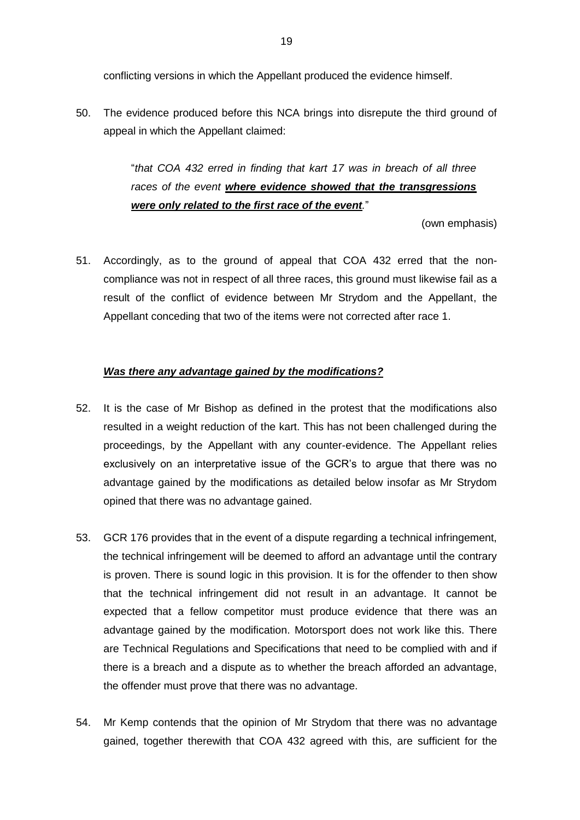conflicting versions in which the Appellant produced the evidence himself.

50. The evidence produced before this NCA brings into disrepute the third ground of appeal in which the Appellant claimed:

> "*that COA 432 erred in finding that kart 17 was in breach of all three races of the event where evidence showed that the transgressions were only related to the first race of the event.*"

> > (own emphasis)

51. Accordingly, as to the ground of appeal that COA 432 erred that the noncompliance was not in respect of all three races, this ground must likewise fail as a result of the conflict of evidence between Mr Strydom and the Appellant, the Appellant conceding that two of the items were not corrected after race 1.

### *Was there any advantage gained by the modifications?*

- 52. It is the case of Mr Bishop as defined in the protest that the modifications also resulted in a weight reduction of the kart. This has not been challenged during the proceedings, by the Appellant with any counter-evidence. The Appellant relies exclusively on an interpretative issue of the GCR's to argue that there was no advantage gained by the modifications as detailed below insofar as Mr Strydom opined that there was no advantage gained.
- 53. GCR 176 provides that in the event of a dispute regarding a technical infringement, the technical infringement will be deemed to afford an advantage until the contrary is proven. There is sound logic in this provision. It is for the offender to then show that the technical infringement did not result in an advantage. It cannot be expected that a fellow competitor must produce evidence that there was an advantage gained by the modification. Motorsport does not work like this. There are Technical Regulations and Specifications that need to be complied with and if there is a breach and a dispute as to whether the breach afforded an advantage, the offender must prove that there was no advantage.
- 54. Mr Kemp contends that the opinion of Mr Strydom that there was no advantage gained, together therewith that COA 432 agreed with this, are sufficient for the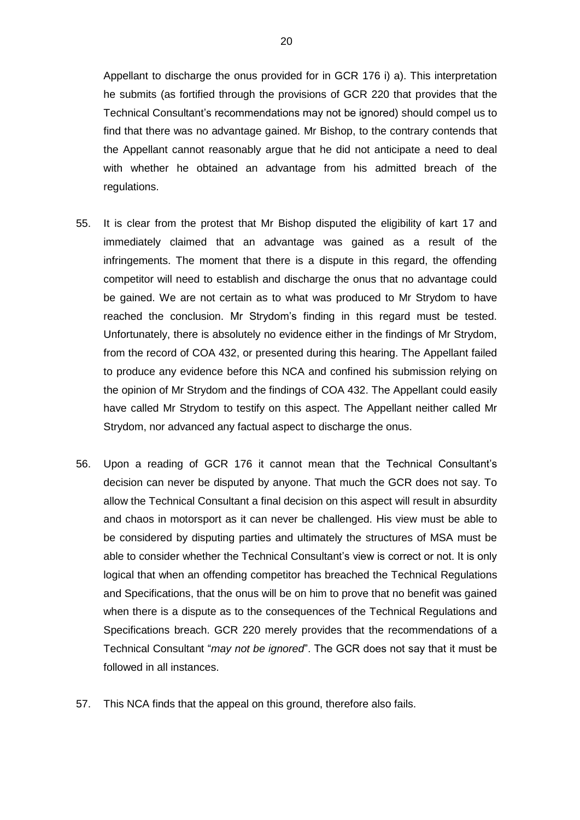Appellant to discharge the onus provided for in GCR 176 i) a). This interpretation he submits (as fortified through the provisions of GCR 220 that provides that the Technical Consultant's recommendations may not be ignored) should compel us to find that there was no advantage gained. Mr Bishop, to the contrary contends that the Appellant cannot reasonably argue that he did not anticipate a need to deal with whether he obtained an advantage from his admitted breach of the regulations.

- 55. It is clear from the protest that Mr Bishop disputed the eligibility of kart 17 and immediately claimed that an advantage was gained as a result of the infringements. The moment that there is a dispute in this regard, the offending competitor will need to establish and discharge the onus that no advantage could be gained. We are not certain as to what was produced to Mr Strydom to have reached the conclusion. Mr Strydom's finding in this regard must be tested. Unfortunately, there is absolutely no evidence either in the findings of Mr Strydom, from the record of COA 432, or presented during this hearing. The Appellant failed to produce any evidence before this NCA and confined his submission relying on the opinion of Mr Strydom and the findings of COA 432. The Appellant could easily have called Mr Strydom to testify on this aspect. The Appellant neither called Mr Strydom, nor advanced any factual aspect to discharge the onus.
- 56. Upon a reading of GCR 176 it cannot mean that the Technical Consultant's decision can never be disputed by anyone. That much the GCR does not say. To allow the Technical Consultant a final decision on this aspect will result in absurdity and chaos in motorsport as it can never be challenged. His view must be able to be considered by disputing parties and ultimately the structures of MSA must be able to consider whether the Technical Consultant's view is correct or not. It is only logical that when an offending competitor has breached the Technical Regulations and Specifications, that the onus will be on him to prove that no benefit was gained when there is a dispute as to the consequences of the Technical Regulations and Specifications breach. GCR 220 merely provides that the recommendations of a Technical Consultant "*may not be ignored*". The GCR does not say that it must be followed in all instances.
- 57. This NCA finds that the appeal on this ground, therefore also fails.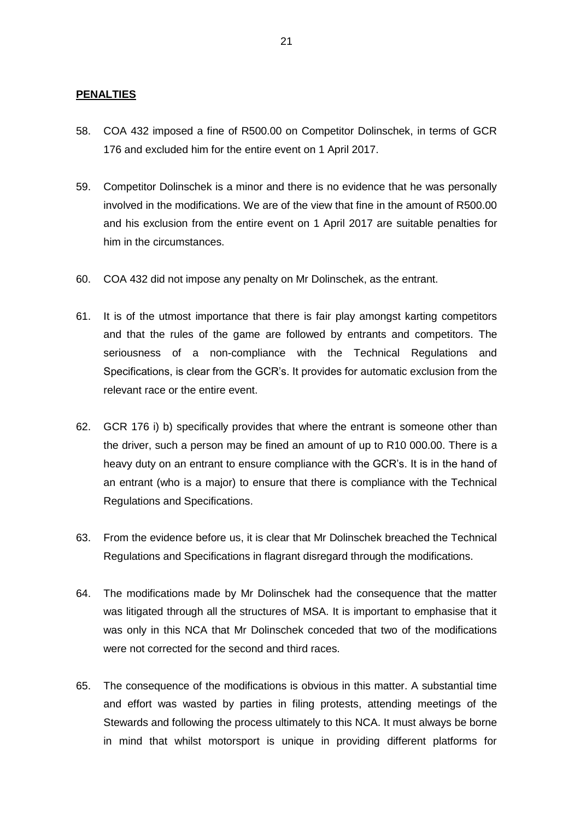### **PENALTIES**

- 58. COA 432 imposed a fine of R500.00 on Competitor Dolinschek, in terms of GCR 176 and excluded him for the entire event on 1 April 2017.
- 59. Competitor Dolinschek is a minor and there is no evidence that he was personally involved in the modifications. We are of the view that fine in the amount of R500.00 and his exclusion from the entire event on 1 April 2017 are suitable penalties for him in the circumstances.
- 60. COA 432 did not impose any penalty on Mr Dolinschek, as the entrant.
- 61. It is of the utmost importance that there is fair play amongst karting competitors and that the rules of the game are followed by entrants and competitors. The seriousness of a non-compliance with the Technical Regulations and Specifications, is clear from the GCR's. It provides for automatic exclusion from the relevant race or the entire event.
- 62. GCR 176 i) b) specifically provides that where the entrant is someone other than the driver, such a person may be fined an amount of up to R10 000.00. There is a heavy duty on an entrant to ensure compliance with the GCR's. It is in the hand of an entrant (who is a major) to ensure that there is compliance with the Technical Regulations and Specifications.
- 63. From the evidence before us, it is clear that Mr Dolinschek breached the Technical Regulations and Specifications in flagrant disregard through the modifications.
- 64. The modifications made by Mr Dolinschek had the consequence that the matter was litigated through all the structures of MSA. It is important to emphasise that it was only in this NCA that Mr Dolinschek conceded that two of the modifications were not corrected for the second and third races.
- 65. The consequence of the modifications is obvious in this matter. A substantial time and effort was wasted by parties in filing protests, attending meetings of the Stewards and following the process ultimately to this NCA. It must always be borne in mind that whilst motorsport is unique in providing different platforms for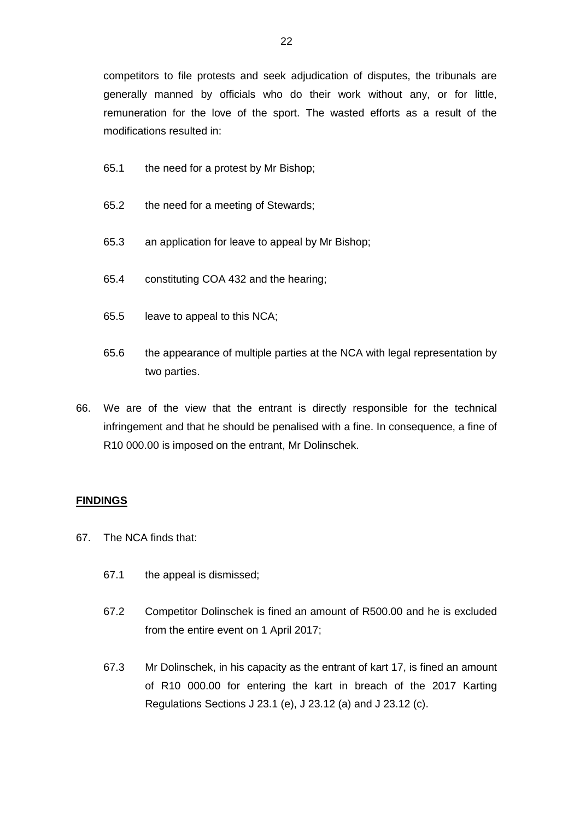competitors to file protests and seek adjudication of disputes, the tribunals are generally manned by officials who do their work without any, or for little, remuneration for the love of the sport. The wasted efforts as a result of the modifications resulted in:

- 65.1 the need for a protest by Mr Bishop;
- 65.2 the need for a meeting of Stewards;
- 65.3 an application for leave to appeal by Mr Bishop;
- 65.4 constituting COA 432 and the hearing;
- 65.5 leave to appeal to this NCA;
- 65.6 the appearance of multiple parties at the NCA with legal representation by two parties.
- 66. We are of the view that the entrant is directly responsible for the technical infringement and that he should be penalised with a fine. In consequence, a fine of R10 000.00 is imposed on the entrant, Mr Dolinschek.

## **FINDINGS**

- 67. The NCA finds that:
	- 67.1 the appeal is dismissed;
	- 67.2 Competitor Dolinschek is fined an amount of R500.00 and he is excluded from the entire event on 1 April 2017;
	- 67.3 Mr Dolinschek, in his capacity as the entrant of kart 17, is fined an amount of R10 000.00 for entering the kart in breach of the 2017 Karting Regulations Sections J 23.1 (e), J 23.12 (a) and J 23.12 (c).